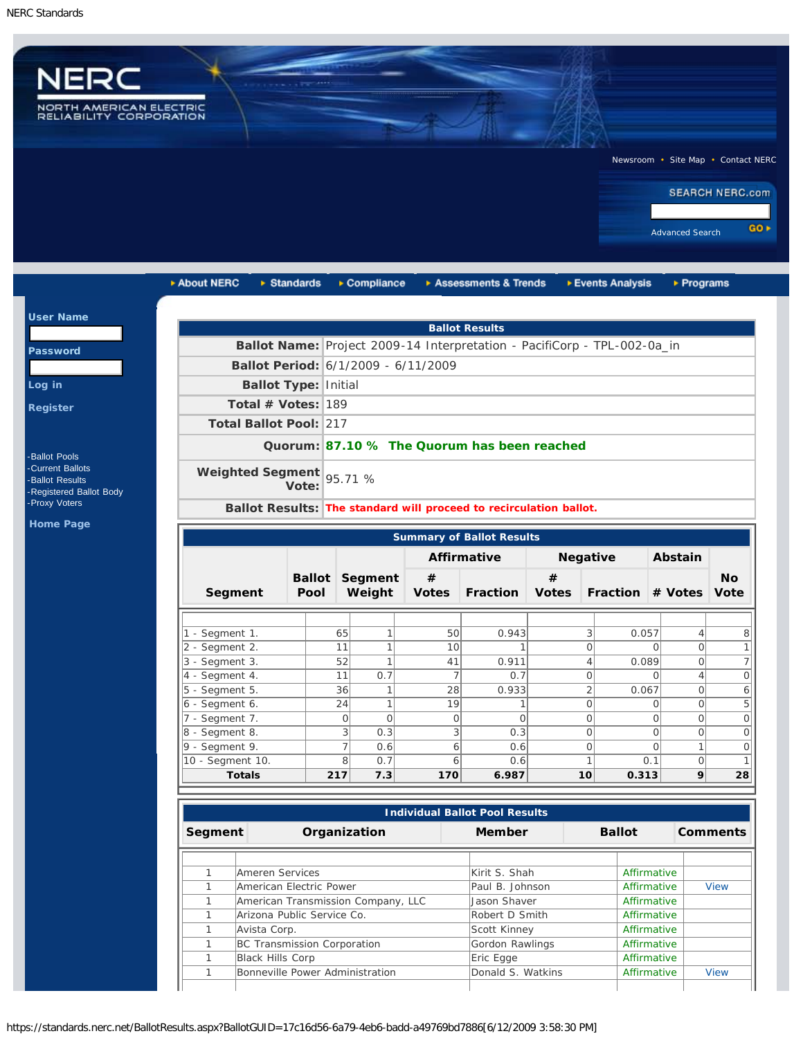$u$ </u>

Pa

 $Loq$ Reg



| ▶ About NERC                     | $\triangleright$ Standards  |                | ▶ Compliance          |                                     | Assessments & Trends                                                     |              | ▶ Events Analysis       | ▶ Programs                 |           |
|----------------------------------|-----------------------------|----------------|-----------------------|-------------------------------------|--------------------------------------------------------------------------|--------------|-------------------------|----------------------------|-----------|
|                                  |                             |                |                       |                                     | <b>Ballot Results</b>                                                    |              |                         |                            |           |
|                                  |                             |                |                       |                                     | Ballot Name: Project 2009-14 Interpretation - PacifiCorp - TPL-002-0a_in |              |                         |                            |           |
|                                  |                             |                |                       | Ballot Period: 6/1/2009 - 6/11/2009 |                                                                          |              |                         |                            |           |
|                                  |                             |                |                       |                                     |                                                                          |              |                         |                            |           |
|                                  | <b>Ballot Type: Initial</b> |                |                       |                                     |                                                                          |              |                         |                            |           |
|                                  | Total # Votes: 189          |                |                       |                                     |                                                                          |              |                         |                            |           |
|                                  | Total Ballot Pool: 217      |                |                       |                                     |                                                                          |              |                         |                            |           |
|                                  |                             |                |                       |                                     | Quorum: 87.10 % The Quorum has been reached                              |              |                         |                            |           |
| Weighted Segment                 | Vote:                       |                | 95.71 %               |                                     |                                                                          |              |                         |                            |           |
|                                  |                             |                |                       |                                     | Ballot Results: The standard will proceed to recirculation ballot.       |              |                         |                            |           |
|                                  |                             |                |                       |                                     |                                                                          |              |                         |                            |           |
| <b>Summary of Ballot Results</b> |                             |                |                       |                                     |                                                                          |              |                         |                            |           |
|                                  |                             |                |                       |                                     | <b>Affirmative</b>                                                       |              | <b>Negative</b>         | Abstain                    |           |
|                                  |                             |                | <b>Ballot Segment</b> | #                                   |                                                                          | #            |                         |                            | <b>No</b> |
| Segment                          | Pool                        |                | Weight                | <b>Votes</b>                        | <b>Fraction</b>                                                          | <b>Votes</b> | Fraction # Votes        |                            | Vote      |
|                                  |                             |                |                       |                                     |                                                                          |              |                         |                            |           |
| 1 - Segment 1.                   |                             | 65             | $\mathbf{1}$          | 50                                  | 0.943                                                                    |              | 3<br>0.057              | $\overline{4}$             |           |
| 2 - Segment 2.                   |                             | 11             | $\overline{1}$        | 10                                  |                                                                          |              | $\overline{O}$          | $\Omega$<br>$\Omega$       |           |
| 3 - Segment 3.                   |                             | 52             | $\overline{1}$        | 41                                  | 0.911                                                                    |              | $\overline{4}$<br>0.089 | $\overline{O}$             |           |
| 4 - Segment 4.                   |                             | 11             | 0.7                   | $\overline{7}$                      | 0.7                                                                      |              | $\overline{O}$          | $\overline{4}$<br>$\Omega$ |           |
| 5 - Segment 5.                   |                             | 36             | $\mathbf{1}$          | 28                                  | 0.933                                                                    |              | $\overline{2}$<br>0.067 | $\Omega$                   |           |
| 6 - Segment 6.                   |                             | 24             | $\mathbf{1}$          | 19                                  | $\mathbf{1}$                                                             |              | $\overline{0}$          | $\circ$<br>$\Omega$        |           |
|                                  |                             |                |                       |                                     |                                                                          |              | $\overline{0}$          | $\overline{O}$<br>$\Omega$ |           |
| 7 - Segment 7.                   |                             | $\circ$        | $\circ$               | 0                                   | $\circ$                                                                  |              |                         |                            |           |
| 8 - Segment 8.                   |                             | 3              | 0.3                   | 3                                   | 0.3                                                                      |              | $\overline{O}$          | $\mathbf{O}$<br>$\Omega$   |           |
| $9 -$ Segment 9.                 |                             | $\overline{7}$ | 0.6                   | 6                                   | 0.6                                                                      |              | $\overline{O}$          | $\mathbf{1}$<br>$\Omega$   |           |
| 10 - Segment 10.                 |                             | 8              | 0.7                   | 6                                   | 0.6                                                                      |              | $\mathbf{1}$            | $\overline{O}$<br>0.1      |           |

| <b>Individual Ballot Pool Results</b> |                                    |                   |               |             |                 |  |  |
|---------------------------------------|------------------------------------|-------------------|---------------|-------------|-----------------|--|--|
| Segment                               | Organization                       | Member            | <b>Ballot</b> |             | <b>Comments</b> |  |  |
|                                       |                                    |                   |               |             |                 |  |  |
|                                       | Ameren Services                    | Kirit S. Shah     |               | Affirmative |                 |  |  |
|                                       | American Electric Power            | Paul B. Johnson   |               | Affirmative | <b>View</b>     |  |  |
|                                       | American Transmission Company, LLC | Jason Shaver      |               | Affirmative |                 |  |  |
|                                       | Arizona Public Service Co.         | Robert D Smith    |               | Affirmative |                 |  |  |
|                                       | Avista Corp.                       | Scott Kinney      |               | Affirmative |                 |  |  |
|                                       | BC Transmission Corporation        | Gordon Rawlings   |               | Affirmative |                 |  |  |
|                                       | Black Hills Corp                   | Eric Egge         |               | Affirmative |                 |  |  |
|                                       | Bonneville Power Administration    | Donald S. Watkins |               | Affirmative | <b>View</b>     |  |  |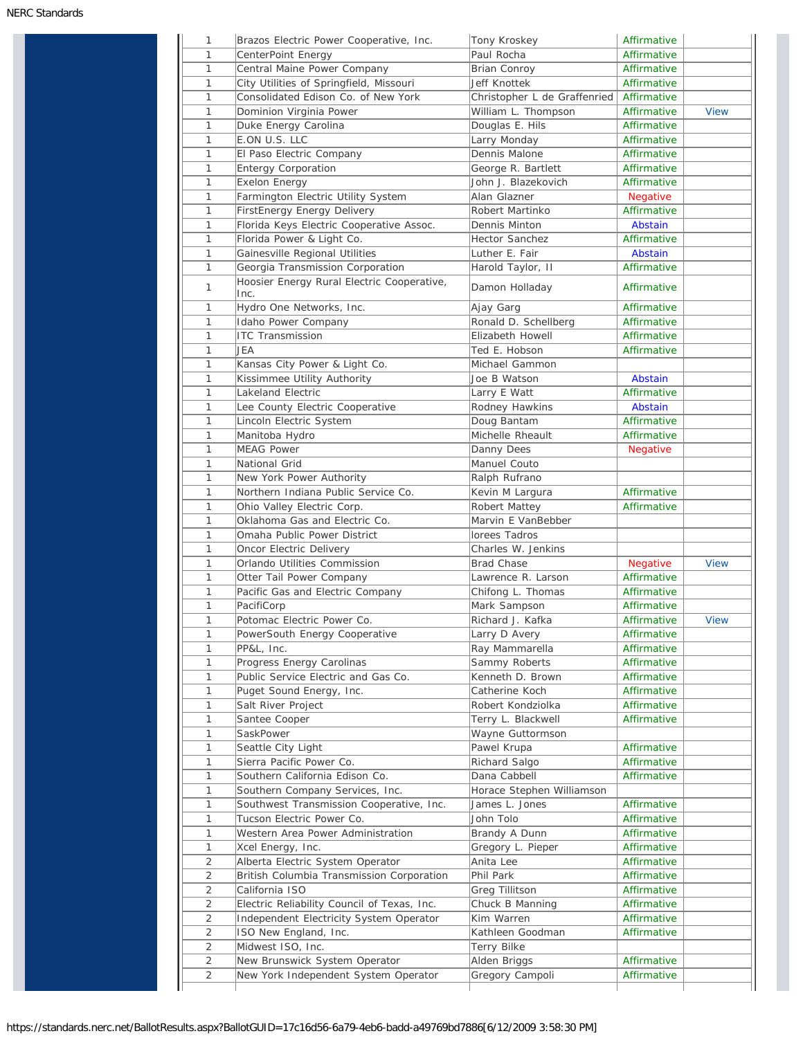| 1              | Brazos Electric Power Cooperative, Inc.            | Tony Kroskey                 | Affirmative     |             |
|----------------|----------------------------------------------------|------------------------------|-----------------|-------------|
| 1              | CenterPoint Energy                                 | Paul Rocha                   | Affirmative     |             |
| 1              | Central Maine Power Company                        | <b>Brian Conroy</b>          | Affirmative     |             |
| 1              | City Utilities of Springfield, Missouri            | Jeff Knottek                 | Affirmative     |             |
| 1              | Consolidated Edison Co. of New York                | Christopher L de Graffenried | Affirmative     |             |
| 1              | Dominion Virginia Power                            | William L. Thompson          | Affirmative     | <b>View</b> |
| 1              | Duke Energy Carolina                               | Douglas E. Hils              | Affirmative     |             |
| 1              | E.ON U.S. LLC                                      | Larry Monday                 | Affirmative     |             |
| 1              | El Paso Electric Company                           | Dennis Malone                | Affirmative     |             |
| 1              | <b>Entergy Corporation</b>                         | George R. Bartlett           | Affirmative     |             |
| 1              | <b>Exelon Energy</b>                               | John J. Blazekovich          | Affirmative     |             |
| 1              | Farmington Electric Utility System                 | Alan Glazner                 | Negative        |             |
| 1              | <b>FirstEnergy Energy Delivery</b>                 | Robert Martinko              | Affirmative     |             |
| 1              | Florida Keys Electric Cooperative Assoc.           | Dennis Minton                | Abstain         |             |
| 1              | Florida Power & Light Co.                          | Hector Sanchez               | Affirmative     |             |
| 1              | Gainesville Regional Utilities                     | Luther E. Fair               | Abstain         |             |
|                | Georgia Transmission Corporation                   |                              | Affirmative     |             |
| 1              |                                                    | Harold Taylor, II            |                 |             |
| 1              | Hoosier Energy Rural Electric Cooperative,<br>Inc. | Damon Holladay               | Affirmative     |             |
| 1              | Hydro One Networks, Inc.                           | Ajay Garg                    | Affirmative     |             |
| 1              | Idaho Power Company                                | Ronald D. Schellberg         | Affirmative     |             |
| 1              | <b>ITC Transmission</b>                            | Elizabeth Howell             | Affirmative     |             |
| 1              | JEA                                                | Ted E. Hobson                | Affirmative     |             |
| 1              | Kansas City Power & Light Co.                      | Michael Gammon               |                 |             |
| 1              | Kissimmee Utility Authority                        | Joe B Watson                 | Abstain         |             |
| 1              | Lakeland Electric                                  | Larry E Watt                 | Affirmative     |             |
| 1              | Lee County Electric Cooperative                    | Rodney Hawkins               | Abstain         |             |
| 1              | Lincoln Electric System                            | Doug Bantam                  | Affirmative     |             |
| 1              | Manitoba Hydro                                     | Michelle Rheault             | Affirmative     |             |
| 1              | <b>MEAG Power</b>                                  | Danny Dees                   | <b>Negative</b> |             |
| 1              | National Grid                                      | Manuel Couto                 |                 |             |
| 1              | New York Power Authority                           | Ralph Rufrano                |                 |             |
| 1              | Northern Indiana Public Service Co.                | Kevin M Largura              | Affirmative     |             |
| 1              | Ohio Valley Electric Corp.                         | Robert Mattey                | Affirmative     |             |
| 1              | Oklahoma Gas and Electric Co.                      | Marvin E VanBebber           |                 |             |
| 1              | Omaha Public Power District                        | lorees Tadros                |                 |             |
| 1              | Oncor Electric Delivery                            | Charles W. Jenkins           |                 |             |
| 1              | Orlando Utilities Commission                       | <b>Brad Chase</b>            | Negative        | <b>View</b> |
| 1              | Otter Tail Power Company                           | Lawrence R. Larson           | Affirmative     |             |
|                |                                                    |                              | Affirmative     |             |
| 1              | Pacific Gas and Electric Company                   | Chifong L. Thomas            |                 |             |
| 1              | PacifiCorp                                         | Mark Sampson                 | Affirmative     |             |
| 1              | Potomac Electric Power Co.                         | Richard J. Kafka             | Affirmative     | <b>View</b> |
| 1              | PowerSouth Energy Cooperative                      | Larry D Avery                | Affirmative     |             |
| 1              | PP&L, Inc.                                         | Ray Mammarella               | Affirmative     |             |
| 1              | Progress Energy Carolinas                          | Sammy Roberts                | Affirmative     |             |
| 1              | Public Service Electric and Gas Co.                | Kenneth D. Brown             | Affirmative     |             |
| 1              | Puget Sound Energy, Inc.                           | Catherine Koch               | Affirmative     |             |
| 1              | Salt River Project                                 | Robert Kondziolka            | Affirmative     |             |
| 1              | Santee Cooper                                      | Terry L. Blackwell           | Affirmative     |             |
| 1              | SaskPower                                          | Wayne Guttormson             |                 |             |
| 1              | Seattle City Light                                 | Pawel Krupa                  | Affirmative     |             |
| 1              | Sierra Pacific Power Co.                           | Richard Salgo                | Affirmative     |             |
| 1              | Southern California Edison Co.                     | Dana Cabbell                 | Affirmative     |             |
| 1              | Southern Company Services, Inc.                    | Horace Stephen Williamson    |                 |             |
| 1              | Southwest Transmission Cooperative, Inc.           | James L. Jones               | Affirmative     |             |
| 1              | Tucson Electric Power Co.                          | John Tolo                    | Affirmative     |             |
| 1              | Western Area Power Administration                  | Brandy A Dunn                | Affirmative     |             |
| 1              | Xcel Energy, Inc.                                  | Gregory L. Pieper            | Affirmative     |             |
| 2              | Alberta Electric System Operator                   | Anita Lee                    | Affirmative     |             |
| $\overline{2}$ | British Columbia Transmission Corporation          | Phil Park                    | Affirmative     |             |
| 2              | California ISO                                     | Greg Tillitson               | Affirmative     |             |
| 2              | Electric Reliability Council of Texas, Inc.        | Chuck B Manning              | Affirmative     |             |
| 2              |                                                    |                              |                 |             |
|                | Independent Electricity System Operator            | Kim Warren                   | Affirmative     |             |
| 2              | ISO New England, Inc.                              | Kathleen Goodman             | Affirmative     |             |
| 2              | Midwest ISO, Inc.                                  | Terry Bilke                  |                 |             |
| 2              | New Brunswick System Operator                      | Alden Briggs                 | Affirmative     |             |
| $\overline{2}$ | New York Independent System Operator               | Gregory Campoli              | Affirmative     |             |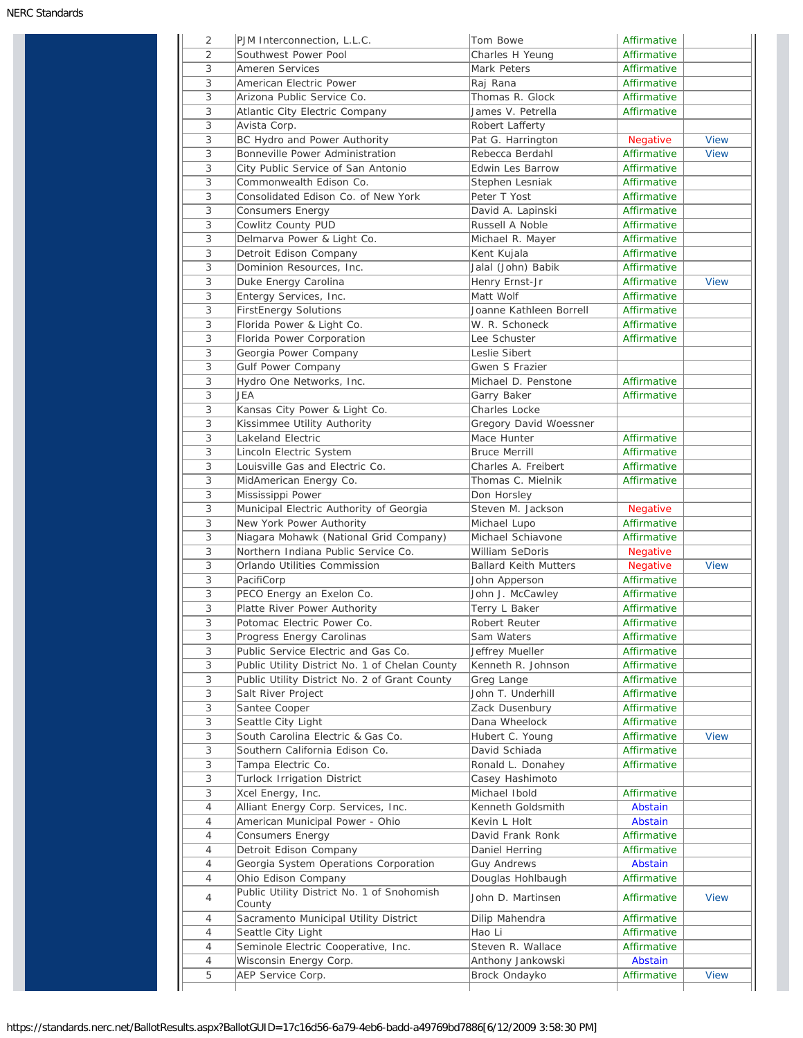| 2              | PJM Interconnection, L.L.C.                                    | Tom Bowe                               | Affirmative            |             |
|----------------|----------------------------------------------------------------|----------------------------------------|------------------------|-------------|
| 2              | Southwest Power Pool                                           | Charles H Yeung                        | Affirmative            |             |
| $\overline{3}$ | <b>Ameren Services</b>                                         | Mark Peters                            | Affirmative            |             |
| 3              | American Electric Power                                        | Raj Rana                               | Affirmative            |             |
| 3              | Arizona Public Service Co.                                     | Thomas R. Glock                        | Affirmative            |             |
| 3              | Atlantic City Electric Company                                 | James V. Petrella                      | Affirmative            |             |
| 3              | Avista Corp.                                                   | Robert Lafferty                        |                        |             |
| 3              | BC Hydro and Power Authority                                   | Pat G. Harrington                      | Negative               | <b>View</b> |
| 3              | Bonneville Power Administration                                | Rebecca Berdahl                        | Affirmative            | <b>View</b> |
| 3              | City Public Service of San Antonio                             | <b>Edwin Les Barrow</b>                | Affirmative            |             |
| 3              |                                                                | Stephen Lesniak                        | Affirmative            |             |
| 3              | Commonwealth Edison Co.<br>Consolidated Edison Co. of New York |                                        | Affirmative            |             |
|                |                                                                | Peter T Yost                           |                        |             |
| 3              | Consumers Energy                                               | David A. Lapinski                      | Affirmative            |             |
| 3              | Cowlitz County PUD                                             | Russell A Noble                        | Affirmative            |             |
| 3              | Delmarva Power & Light Co.                                     | Michael R. Mayer                       | Affirmative            |             |
| 3              | Detroit Edison Company                                         | Kent Kujala                            | Affirmative            |             |
| 3              | Dominion Resources, Inc.                                       | Jalal (John) Babik                     | Affirmative            |             |
| 3              | Duke Energy Carolina                                           | Henry Ernst-Jr                         | Affirmative            | <b>View</b> |
| 3              | Entergy Services, Inc.                                         | Matt Wolf                              | Affirmative            |             |
| 3              | <b>FirstEnergy Solutions</b>                                   | Joanne Kathleen Borrell                | Affirmative            |             |
| 3              | Florida Power & Light Co.                                      | W. R. Schoneck                         | Affirmative            |             |
| 3              | Florida Power Corporation                                      | Lee Schuster                           | Affirmative            |             |
| 3              | Georgia Power Company                                          | Leslie Sibert                          |                        |             |
| 3              | Gulf Power Company                                             | Gwen S Frazier                         |                        |             |
| 3              | Hydro One Networks, Inc.                                       | Michael D. Penstone                    | Affirmative            |             |
| 3              | JEA                                                            | Garry Baker                            | Affirmative            |             |
| 3              | Kansas City Power & Light Co.                                  | Charles Locke                          |                        |             |
| 3              |                                                                | Gregory David Woessner                 |                        |             |
| 3              | Kissimmee Utility Authority                                    |                                        |                        |             |
|                | Lakeland Electric                                              | Mace Hunter                            | Affirmative            |             |
| 3              | Lincoln Electric System                                        | <b>Bruce Merrill</b>                   | Affirmative            |             |
| 3              | Louisville Gas and Electric Co.                                | Charles A. Freibert                    | Affirmative            |             |
| 3              | MidAmerican Energy Co.                                         | Thomas C. Mielnik                      | Affirmative            |             |
| 3              | Mississippi Power                                              | Don Horsley                            |                        |             |
| 3              | Municipal Electric Authority of Georgia                        | Steven M. Jackson                      | Negative               |             |
| 3              | New York Power Authority                                       | Michael Lupo                           | Affirmative            |             |
| 3              | Niagara Mohawk (National Grid Company)                         | Michael Schiavone                      | Affirmative            |             |
| 3              | Northern Indiana Public Service Co.                            | William SeDoris                        | Negative               |             |
| 3              | Orlando Utilities Commission                                   | <b>Ballard Keith Mutters</b>           | Negative               | <b>View</b> |
| 3              | PacifiCorp                                                     | John Apperson                          | Affirmative            |             |
| 3              | PECO Energy an Exelon Co.                                      | John J. McCawley                       | Affirmative            |             |
| 3              | Platte River Power Authority                                   | Terry L Baker                          | Affirmative            |             |
| 3              | Potomac Electric Power Co.                                     | Robert Reuter                          | Affirmative            |             |
| 3              | Progress Energy Carolinas                                      | Sam Waters                             | Affirmative            |             |
| 3              | Public Service Electric and Gas Co.                            | Jeffrey Mueller                        | Affirmative            |             |
| 3              | Public Utility District No. 1 of Chelan County                 | Kenneth R. Johnson                     | Affirmative            |             |
| 3              | Public Utility District No. 2 of Grant County                  | Greg Lange                             | Affirmative            |             |
|                |                                                                |                                        |                        |             |
| 3              | Salt River Project                                             | John T. Underhill                      | Affirmative            |             |
| 3              | Santee Cooper                                                  | Zack Dusenbury                         | Affirmative            |             |
| 3              | Seattle City Light                                             | Dana Wheelock                          | Affirmative            |             |
| 3              | South Carolina Electric & Gas Co.                              | Hubert C. Young                        | Affirmative            | <b>View</b> |
| 3              | Southern California Edison Co.                                 | David Schiada                          | Affirmative            |             |
| 3              | Tampa Electric Co.                                             | Ronald L. Donahey                      | Affirmative            |             |
| 3              | Turlock Irrigation District                                    | Casey Hashimoto                        |                        |             |
| 3              | Xcel Energy, Inc.                                              | Michael Ibold                          | Affirmative            |             |
| $\overline{4}$ | Alliant Energy Corp. Services, Inc.                            | Kenneth Goldsmith                      | Abstain                |             |
| 4              | American Municipal Power - Ohio                                | Kevin L Holt                           | Abstain                |             |
| 4              | Consumers Energy                                               | David Frank Ronk                       | Affirmative            |             |
| 4              | Detroit Edison Company                                         | Daniel Herring                         | Affirmative            |             |
| 4              | Georgia System Operations Corporation                          | <b>Guy Andrews</b>                     | Abstain                |             |
| $\overline{4}$ | Ohio Edison Company                                            | Douglas Hohlbaugh                      | Affirmative            |             |
| 4              | Public Utility District No. 1 of Snohomish<br>County           | John D. Martinsen                      | Affirmative            | <b>View</b> |
| 4              | Sacramento Municipal Utility District                          | Dilip Mahendra                         | Affirmative            |             |
|                |                                                                |                                        |                        |             |
|                |                                                                |                                        |                        |             |
| 4              | Seattle City Light                                             | Hao Li                                 | Affirmative            |             |
| 4<br>4         | Seminole Electric Cooperative, Inc.<br>Wisconsin Energy Corp.  | Steven R. Wallace<br>Anthony Jankowski | Affirmative<br>Abstain |             |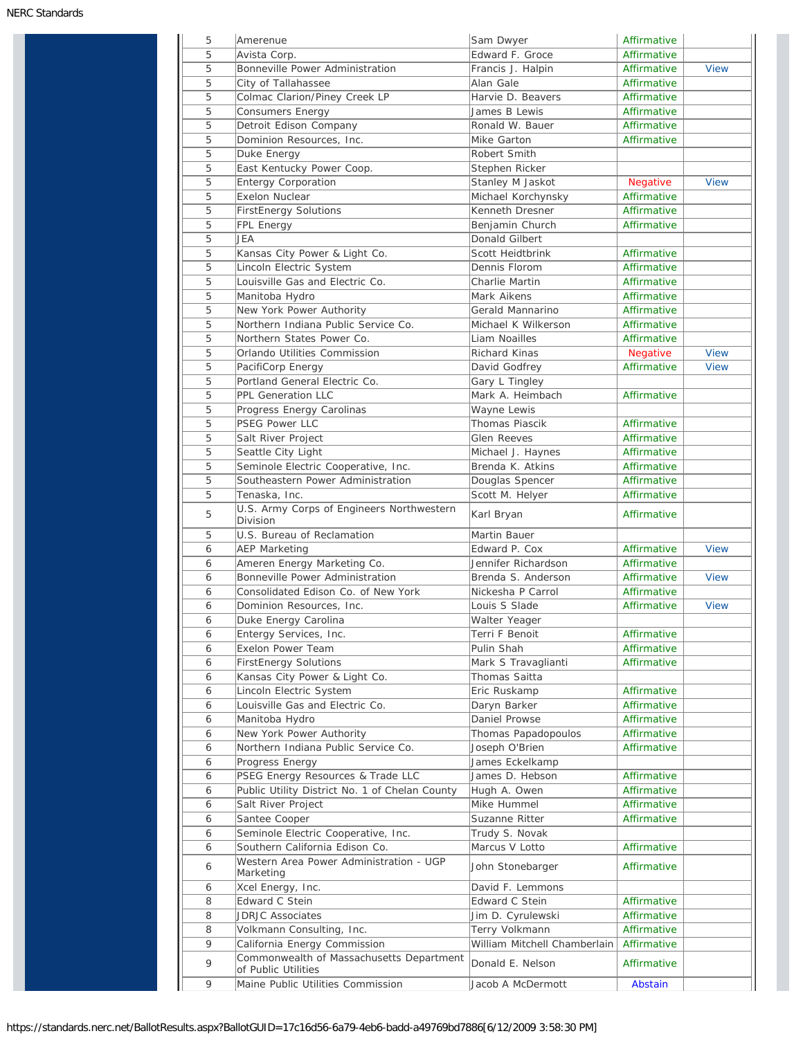| 5      | Amerenue                                                                  | Sam Dwyer                          | Affirmative                |             |
|--------|---------------------------------------------------------------------------|------------------------------------|----------------------------|-------------|
| 5      | Avista Corp.                                                              | Edward F. Groce                    | Affirmative                |             |
| 5      | Bonneville Power Administration                                           | Francis J. Halpin                  | Affirmative                | <b>View</b> |
| 5      | City of Tallahassee                                                       | Alan Gale                          | Affirmative                |             |
| 5      | Colmac Clarion/Piney Creek LP                                             | Harvie D. Beavers                  | Affirmative                |             |
| 5      | <b>Consumers Energy</b>                                                   | James B Lewis                      | Affirmative                |             |
| 5      | Detroit Edison Company                                                    | Ronald W. Bauer                    | Affirmative                |             |
| 5      | Dominion Resources, Inc.                                                  | Mike Garton                        | Affirmative                |             |
| 5      | Duke Energy                                                               | Robert Smith                       |                            |             |
| 5      | East Kentucky Power Coop.                                                 | Stephen Ricker                     |                            |             |
| 5      | <b>Entergy Corporation</b>                                                | Stanley M Jaskot                   | <b>Negative</b>            | <b>View</b> |
| 5      | <b>Exelon Nuclear</b>                                                     | Michael Korchynsky                 | Affirmative                |             |
| 5      | <b>FirstEnergy Solutions</b>                                              | Kenneth Dresner                    | Affirmative                |             |
| 5      | FPL Energy                                                                | Benjamin Church                    | Affirmative                |             |
| 5      | JEA                                                                       | Donald Gilbert                     |                            |             |
| 5      | Kansas City Power & Light Co.                                             | Scott Heidtbrink                   | Affirmative                |             |
| 5      | Lincoln Electric System                                                   | Dennis Florom                      | Affirmative                |             |
| 5      | Louisville Gas and Electric Co.                                           | Charlie Martin                     | Affirmative                |             |
| 5      | Manitoba Hydro                                                            | Mark Aikens                        | Affirmative                |             |
| 5      | New York Power Authority                                                  | Gerald Mannarino                   | Affirmative                |             |
| 5      | Northern Indiana Public Service Co.                                       | Michael K Wilkerson                | Affirmative                |             |
| 5      | Northern States Power Co.                                                 | Liam Noailles                      | Affirmative                |             |
| 5      | Orlando Utilities Commission                                              | Richard Kinas                      | Negative                   | <b>View</b> |
| 5      | PacifiCorp Energy                                                         | David Godfrey                      | Affirmative                | <b>View</b> |
| 5      | Portland General Electric Co.                                             | Gary L Tingley                     |                            |             |
| 5      | PPL Generation LLC                                                        | Mark A. Heimbach                   | Affirmative                |             |
| 5      | Progress Energy Carolinas                                                 | Wayne Lewis                        |                            |             |
| 5      | PSEG Power LLC                                                            | Thomas Piascik                     | Affirmative                |             |
| 5      | Salt River Project                                                        | Glen Reeves                        | Affirmative                |             |
| 5      | Seattle City Light                                                        | Michael J. Haynes                  | Affirmative                |             |
| 5      | Seminole Electric Cooperative, Inc.                                       | Brenda K. Atkins                   | Affirmative                |             |
| 5      | Southeastern Power Administration                                         | Douglas Spencer                    | Affirmative                |             |
| 5      | Tenaska, Inc.                                                             | Scott M. Helyer                    | Affirmative                |             |
| 5      | U.S. Army Corps of Engineers Northwestern<br>Division                     | Karl Bryan                         | Affirmative                |             |
| 5      | U.S. Bureau of Reclamation                                                | Martin Bauer                       |                            |             |
| 6      | <b>AEP Marketing</b>                                                      | Edward P. Cox                      | Affirmative                | <b>View</b> |
| 6      | Ameren Energy Marketing Co.                                               | Jennifer Richardson                | Affirmative                |             |
| 6      | Bonneville Power Administration                                           | Brenda S. Anderson                 | Affirmative                | <b>View</b> |
| 6      | Consolidated Edison Co. of New York                                       | Nickesha P Carrol                  | Affirmative                |             |
| 6      | Dominion Resources, Inc.                                                  | Louis S Slade                      | Affirmative                | <b>View</b> |
| 6      | Duke Energy Carolina                                                      | Walter Yeager                      |                            |             |
| 6      | Entergy Services, Inc.                                                    | Terri F Benoit                     | Affirmative                |             |
| 6      | <b>Exelon Power Team</b>                                                  | Pulin Shah                         | Affirmative                |             |
| 6      | <b>FirstEnergy Solutions</b>                                              | Mark S Travaglianti                | Affirmative                |             |
| 6      | Kansas City Power & Light Co.                                             | Thomas Saitta                      |                            |             |
| 6      | Lincoln Electric System                                                   | Eric Ruskamp                       | Affirmative                |             |
|        | Louisville Gas and Electric Co.                                           |                                    | Affirmative                |             |
| 6      |                                                                           | Daryn Barker                       |                            |             |
| 6      | Manitoba Hydro                                                            | Daniel Prowse                      | Affirmative                |             |
| 6      | New York Power Authority                                                  | Thomas Papadopoulos                | Affirmative                |             |
| 6      | Northern Indiana Public Service Co.                                       | Joseph O'Brien                     | Affirmative                |             |
| 6      | Progress Energy                                                           | James Eckelkamp                    |                            |             |
| 6      | PSEG Energy Resources & Trade LLC                                         | James D. Hebson                    | Affirmative                |             |
| 6      | Public Utility District No. 1 of Chelan County                            | Hugh A. Owen                       | Affirmative                |             |
| 6      | Salt River Project                                                        | Mike Hummel                        | Affirmative                |             |
| 6      | Santee Cooper                                                             | Suzanne Ritter                     | Affirmative                |             |
| 6      | Seminole Electric Cooperative, Inc.                                       | Trudy S. Novak                     |                            |             |
| 6<br>6 | Southern California Edison Co.<br>Western Area Power Administration - UGP | Marcus V Lotto<br>John Stonebarger | Affirmative<br>Affirmative |             |
|        | Marketing                                                                 |                                    |                            |             |
| 6      | Xcel Energy, Inc.                                                         | David F. Lemmons                   |                            |             |
| 8      | Edward C Stein                                                            | Edward C Stein                     | Affirmative                |             |
| 8      | <b>JDRJC Associates</b>                                                   | Jim D. Cyrulewski                  | Affirmative                |             |
| 8      | Volkmann Consulting, Inc.                                                 | Terry Volkmann                     | Affirmative                |             |
| 9      | California Energy Commission                                              | William Mitchell Chamberlain       | Affirmative                |             |
|        | Commonwealth of Massachusetts Department                                  |                                    |                            |             |
| 9      | of Public Utilities                                                       | Donald E. Nelson                   | Affirmative                |             |